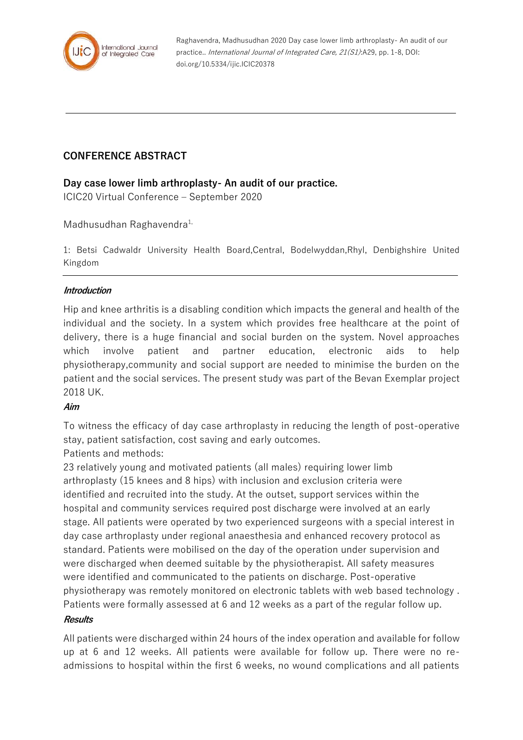

Raghavendra, Madhusudhan 2020 Day case lower limb arthroplasty- An audit of our practice.. International Journal of Integrated Care, 21(S1):A29, pp. 1-8, DOI: doi.org/10.5334/ijic.ICIC20378

# **CONFERENCE ABSTRACT**

## **Day case lower limb arthroplasty- An audit of our practice.**

ICIC20 Virtual Conference – September 2020

## Madhusudhan Raghavendra<sup>1,</sup>

1: Betsi Cadwaldr University Health Board,Central, Bodelwyddan,Rhyl, Denbighshire United Kingdom

### **Introduction**

Hip and knee arthritis is a disabling condition which impacts the general and health of the individual and the society. In a system which provides free healthcare at the point of delivery, there is a huge financial and social burden on the system. Novel approaches which involve patient and partner education, electronic aids to help physiotherapy,community and social support are needed to minimise the burden on the patient and the social services. The present study was part of the Bevan Exemplar project 2018 UK.

#### **Aim**

To witness the efficacy of day case arthroplasty in reducing the length of post-operative stay, patient satisfaction, cost saving and early outcomes.

Patients and methods:

23 relatively young and motivated patients (all males) requiring lower limb arthroplasty (15 knees and 8 hips) with inclusion and exclusion criteria were identified and recruited into the study. At the outset, support services within the hospital and community services required post discharge were involved at an early stage. All patients were operated by two experienced surgeons with a special interest in day case arthroplasty under regional anaesthesia and enhanced recovery protocol as standard. Patients were mobilised on the day of the operation under supervision and were discharged when deemed suitable by the physiotherapist. All safety measures were identified and communicated to the patients on discharge. Post-operative physiotherapy was remotely monitored on electronic tablets with web based technology . Patients were formally assessed at 6 and 12 weeks as a part of the regular follow up. **Results**

All patients were discharged within 24 hours of the index operation and available for follow up at 6 and 12 weeks. All patients were available for follow up. There were no readmissions to hospital within the first 6 weeks, no wound complications and all patients